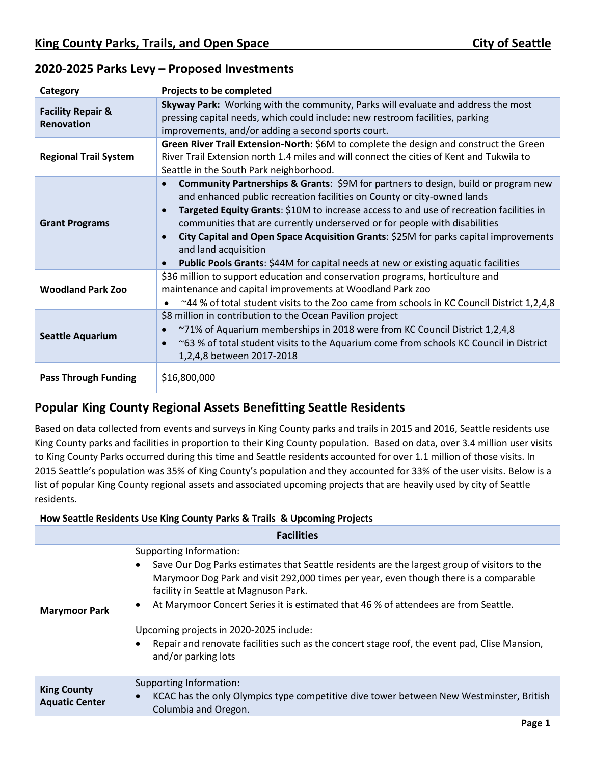| Category                                   | Projects to be completed                                                                                                                                                                                                                                                                                                                                                                                                                                                                                                                                                                                    |
|--------------------------------------------|-------------------------------------------------------------------------------------------------------------------------------------------------------------------------------------------------------------------------------------------------------------------------------------------------------------------------------------------------------------------------------------------------------------------------------------------------------------------------------------------------------------------------------------------------------------------------------------------------------------|
| <b>Facility Repair &amp;</b><br>Renovation | Skyway Park: Working with the community, Parks will evaluate and address the most<br>pressing capital needs, which could include: new restroom facilities, parking<br>improvements, and/or adding a second sports court.                                                                                                                                                                                                                                                                                                                                                                                    |
| <b>Regional Trail System</b>               | Green River Trail Extension-North: \$6M to complete the design and construct the Green<br>River Trail Extension north 1.4 miles and will connect the cities of Kent and Tukwila to<br>Seattle in the South Park neighborhood.                                                                                                                                                                                                                                                                                                                                                                               |
| <b>Grant Programs</b>                      | <b>Community Partnerships &amp; Grants:</b> \$9M for partners to design, build or program new<br>$\bullet$<br>and enhanced public recreation facilities on County or city-owned lands<br>Targeted Equity Grants: \$10M to increase access to and use of recreation facilities in<br>$\bullet$<br>communities that are currently underserved or for people with disabilities<br>City Capital and Open Space Acquisition Grants: \$25M for parks capital improvements<br>$\bullet$<br>and land acquisition<br>Public Pools Grants: \$44M for capital needs at new or existing aquatic facilities<br>$\bullet$ |
| <b>Woodland Park Zoo</b>                   | \$36 million to support education and conservation programs, horticulture and<br>maintenance and capital improvements at Woodland Park zoo<br>$\sim$ 44 % of total student visits to the Zoo came from schools in KC Council District 1,2,4,8                                                                                                                                                                                                                                                                                                                                                               |
| <b>Seattle Aquarium</b>                    | \$8 million in contribution to the Ocean Pavilion project<br>~71% of Aquarium memberships in 2018 were from KC Council District 1,2,4,8<br>$\bullet$<br>~63 % of total student visits to the Aquarium come from schools KC Council in District<br>$\bullet$<br>1,2,4,8 between 2017-2018                                                                                                                                                                                                                                                                                                                    |
| <b>Pass Through Funding</b>                | \$16,800,000                                                                                                                                                                                                                                                                                                                                                                                                                                                                                                                                                                                                |

## **2020-2025 Parks Levy – Proposed Investments**

## **Popular King County Regional Assets Benefitting Seattle Residents**

Based on data collected from events and surveys in King County parks and trails in 2015 and 2016, Seattle residents use King County parks and facilities in proportion to their King County population. Based on data, over 3.4 million user visits to King County Parks occurred during this time and Seattle residents accounted for over 1.1 million of those visits. In 2015 Seattle's population was 35% of King County's population and they accounted for 33% of the user visits. Below is a list of popular King County regional assets and associated upcoming projects that are heavily used by city of Seattle residents.

## **How Seattle Residents Use King County Parks & Trails & Upcoming Projects**

| <b>Facilities</b>                           |                                                                                                                                                                                                                                                                                                                                                                                                                                                                                                                    |  |
|---------------------------------------------|--------------------------------------------------------------------------------------------------------------------------------------------------------------------------------------------------------------------------------------------------------------------------------------------------------------------------------------------------------------------------------------------------------------------------------------------------------------------------------------------------------------------|--|
| <b>Marymoor Park</b>                        | Supporting Information:<br>Save Our Dog Parks estimates that Seattle residents are the largest group of visitors to the<br>Marymoor Dog Park and visit 292,000 times per year, even though there is a comparable<br>facility in Seattle at Magnuson Park.<br>At Marymoor Concert Series it is estimated that 46 % of attendees are from Seattle.<br>Upcoming projects in 2020-2025 include:<br>Repair and renovate facilities such as the concert stage roof, the event pad, Clise Mansion,<br>and/or parking lots |  |
| <b>King County</b><br><b>Aquatic Center</b> | Supporting Information:<br>KCAC has the only Olympics type competitive dive tower between New Westminster, British<br>Columbia and Oregon.                                                                                                                                                                                                                                                                                                                                                                         |  |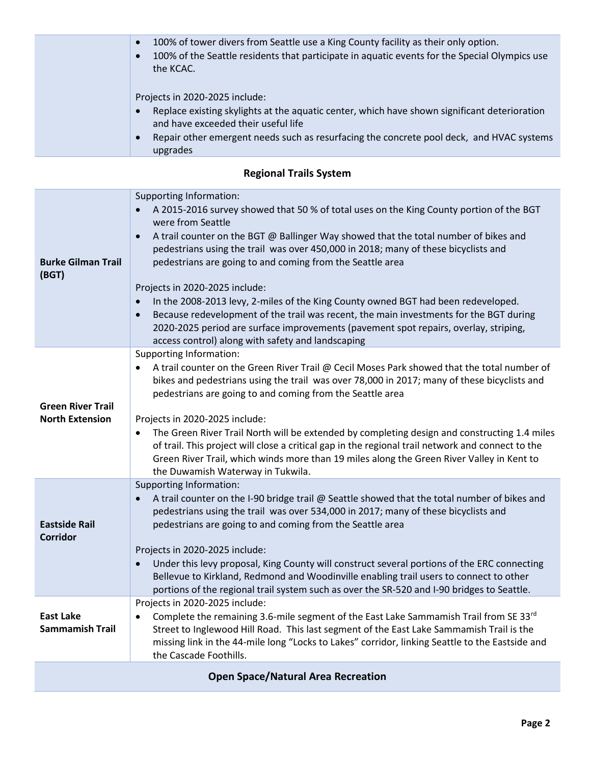| 100% of tower divers from Seattle use a King County facility as their only option.<br>$\bullet$<br>100% of the Seattle residents that participate in aquatic events for the Special Olympics use<br>the KCAC. |
|---------------------------------------------------------------------------------------------------------------------------------------------------------------------------------------------------------------|
| Projects in 2020-2025 include:<br>Replace existing skylights at the aquatic center, which have shown significant deterioration<br>and have exceeded their useful life                                         |
| Repair other emergent needs such as resurfacing the concrete pool deck, and HVAC systems<br>upgrades                                                                                                          |

## **Regional Trails System**

| <b>Burke Gilman Trail</b><br>(BGT)                 | Supporting Information:<br>A 2015-2016 survey showed that 50 % of total uses on the King County portion of the BGT<br>were from Seattle<br>A trail counter on the BGT @ Ballinger Way showed that the total number of bikes and<br>$\bullet$<br>pedestrians using the trail was over 450,000 in 2018; many of these bicyclists and<br>pedestrians are going to and coming from the Seattle area<br>Projects in 2020-2025 include:<br>In the 2008-2013 levy, 2-miles of the King County owned BGT had been redeveloped.<br>Because redevelopment of the trail was recent, the main investments for the BGT during<br>2020-2025 period are surface improvements (pavement spot repairs, overlay, striping,<br>access control) along with safety and landscaping |  |
|----------------------------------------------------|---------------------------------------------------------------------------------------------------------------------------------------------------------------------------------------------------------------------------------------------------------------------------------------------------------------------------------------------------------------------------------------------------------------------------------------------------------------------------------------------------------------------------------------------------------------------------------------------------------------------------------------------------------------------------------------------------------------------------------------------------------------|--|
| <b>Green River Trail</b><br><b>North Extension</b> | <b>Supporting Information:</b><br>A trail counter on the Green River Trail @ Cecil Moses Park showed that the total number of<br>bikes and pedestrians using the trail was over 78,000 in 2017; many of these bicyclists and<br>pedestrians are going to and coming from the Seattle area<br>Projects in 2020-2025 include:<br>The Green River Trail North will be extended by completing design and constructing 1.4 miles<br>of trail. This project will close a critical gap in the regional trail network and connect to the<br>Green River Trail, which winds more than 19 miles along the Green River Valley in Kent to<br>the Duwamish Waterway in Tukwila.                                                                                            |  |
| <b>Eastside Rail</b><br><b>Corridor</b>            | Supporting Information:<br>A trail counter on the I-90 bridge trail @ Seattle showed that the total number of bikes and<br>pedestrians using the trail was over 534,000 in 2017; many of these bicyclists and<br>pedestrians are going to and coming from the Seattle area<br>Projects in 2020-2025 include:<br>Under this levy proposal, King County will construct several portions of the ERC connecting<br>Bellevue to Kirkland, Redmond and Woodinville enabling trail users to connect to other<br>portions of the regional trail system such as over the SR-520 and I-90 bridges to Seattle.                                                                                                                                                           |  |
| <b>East Lake</b><br><b>Sammamish Trail</b>         | Projects in 2020-2025 include:<br>Complete the remaining 3.6-mile segment of the East Lake Sammamish Trail from SE 33rd<br>Street to Inglewood Hill Road. This last segment of the East Lake Sammamish Trail is the<br>missing link in the 44-mile long "Locks to Lakes" corridor, linking Seattle to the Eastside and<br>the Cascade Foothills.                                                                                                                                                                                                                                                                                                                                                                                                              |  |
| <b>Open Space/Natural Area Recreation</b>          |                                                                                                                                                                                                                                                                                                                                                                                                                                                                                                                                                                                                                                                                                                                                                               |  |